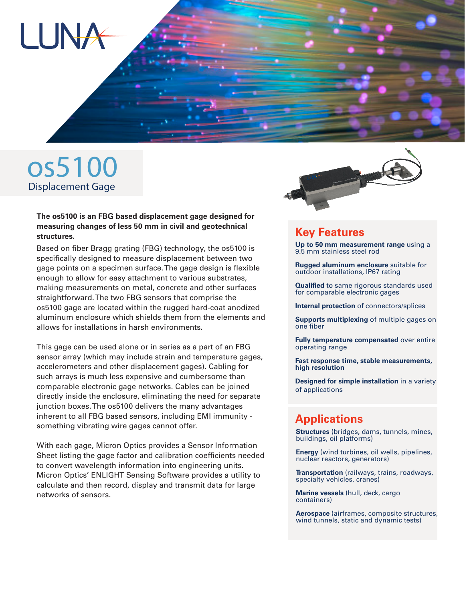

# os5100 Displacement Gage

#### **The os5100 is an FBG based displacement gage designed for measuring changes of less 50 mm in civil and geotechnical structures.**

Based on fiber Bragg grating (FBG) technology, the os5100 is specifically designed to measure displacement between two gage points on a specimen surface. The gage design is flexible enough to allow for easy attachment to various substrates, making measurements on metal, concrete and other surfaces straightforward. The two FBG sensors that comprise the os5100 gage are located within the rugged hard-coat anodized aluminum enclosure which shields them from the elements and allows for installations in harsh environments.

This gage can be used alone or in series as a part of an FBG sensor array (which may include strain and temperature gages, accelerometers and other displacement gages). Cabling for such arrays is much less expensive and cumbersome than comparable electronic gage networks. Cables can be joined directly inside the enclosure, eliminating the need for separate junction boxes. The os5100 delivers the many advantages inherent to all FBG based sensors, including EMI immunity something vibrating wire gages cannot offer.

With each gage, Micron Optics provides a Sensor Information Sheet listing the gage factor and calibration coefficients needed to convert wavelength information into engineering units. Micron Optics' ENLIGHT Sensing Software provides a utility to calculate and then record, display and transmit data for large networks of sensors.



### **Key Features**

**Up to 50 mm measurement range** using a 9.5 mm stainless steel rod

**Rugged aluminum enclosure** suitable for outdoor installations, IP67 rating

**Qualified** to same rigorous standards used for comparable electronic gages

**Internal protection** of connectors/splices

**Supports multiplexing** of multiple gages on one fiber

**Fully temperature compensated** over entire operating range

**Fast response time, stable measurements, high resolution**

**Designed for simple installation** in a variety of applications

## **Applications**

**Structures** (bridges, dams, tunnels, mines, buildings, oil platforms)

**Energy** (wind turbines, oil wells, pipelines, nuclear reactors, generators)

**Transportation** (railways, trains, roadways, specialty vehicles, cranes)

**Marine vessels** (hull, deck, cargo containers)

**Aerospace** (airframes, composite structures, wind tunnels, static and dynamic tests)